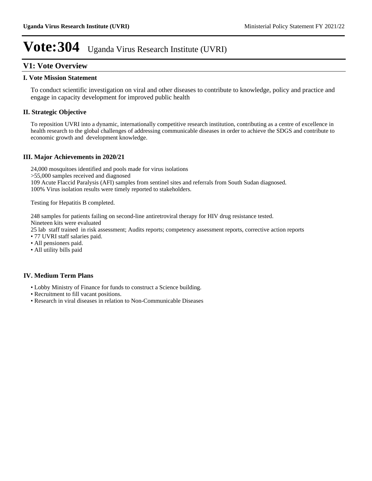# **V1: Vote Overview**

#### **I. Vote Mission Statement**

To conduct scientific investigation on viral and other diseases to contribute to knowledge, policy and practice and engage in capacity development for improved public health

## **II. Strategic Objective**

To reposition UVRI into a dynamic, internationally competitive research institution, contributing as a centre of excellence in health research to the global challenges of addressing communicable diseases in order to achieve the SDGS and contribute to economic growth and development knowledge.

### **III. Major Achievements in 2020/21**

24,000 mosquitoes identified and pools made for virus isolations >55,000 samples received and diagnosed 109 Acute Flaccid Paralysis (AFI) samples from sentinel sites and referrals from South Sudan diagnosed. 100% Virus isolation results were timely reported to stakeholders.

Testing for Hepatitis B completed.

248 samples for patients failing on second-line antiretroviral therapy for HIV drug resistance tested.

Nineteen kits were evaluated

25 lab staff trained in risk assessment; Audits reports; competency assessment reports, corrective action reports

77 UVRI staff salaries paid.

- All pensioners paid.
- All utility bills paid

### **IV. Medium Term Plans**

- Lobby Ministry of Finance for funds to construct a Science building.
- Recruitment to fill vacant positions.
- Research in viral diseases in relation to Non-Communicable Diseases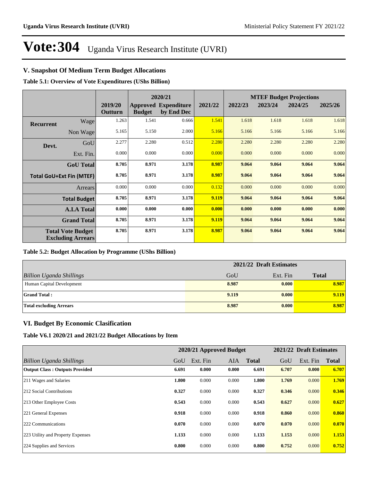# **V. Snapshot Of Medium Term Budget Allocations**

**Table 5.1: Overview of Vote Expenditures (UShs Billion)**

|           |                                                      |                    |               | 2020/21                                   |         | <b>MTEF Budget Projections</b> |         |         |         |  |
|-----------|------------------------------------------------------|--------------------|---------------|-------------------------------------------|---------|--------------------------------|---------|---------|---------|--|
|           |                                                      | 2019/20<br>Outturn | <b>Budget</b> | <b>Approved Expenditure</b><br>by End Dec | 2021/22 | 2022/23                        | 2023/24 | 2024/25 | 2025/26 |  |
| Recurrent | Wage                                                 | 1.263              | 1.541         | 0.666                                     | 1.541   | 1.618                          | 1.618   | 1.618   | 1.618   |  |
|           | Non Wage                                             | 5.165              | 5.150         | 2.000                                     | 5.166   | 5.166                          | 5.166   | 5.166   | 5.166   |  |
| Devt.     | GoU                                                  | 2.277              | 2.280         | 0.512                                     | 2.280   | 2.280                          | 2.280   | 2.280   | 2.280   |  |
|           | Ext. Fin.                                            | 0.000              | 0.000         | 0.000                                     | 0.000   | 0.000                          | 0.000   | 0.000   | 0.000   |  |
|           | <b>GoU</b> Total                                     | 8.705              | 8.971         | 3.178                                     | 8.987   | 9.064                          | 9.064   | 9.064   | 9.064   |  |
|           | <b>Total GoU+Ext Fin (MTEF)</b>                      | 8.705              | 8.971         | 3.178                                     | 8.987   | 9.064                          | 9.064   | 9.064   | 9.064   |  |
|           | <b>Arrears</b>                                       | 0.000              | 0.000         | 0.000                                     | 0.132   | 0.000                          | 0.000   | 0.000   | 0.000   |  |
|           | <b>Total Budget</b>                                  | 8.705              | 8.971         | 3.178                                     | 9.119   | 9.064                          | 9.064   | 9.064   | 9.064   |  |
|           | <b>A.I.A Total</b>                                   | 0.000              | 0.000         | 0.000                                     | 0.000   | 0.000                          | 0.000   | 0.000   | 0.000   |  |
|           | <b>Grand Total</b>                                   | 8.705              | 8.971         | 3.178                                     | 9.119   | 9.064                          | 9.064   | 9.064   | 9.064   |  |
|           | <b>Total Vote Budget</b><br><b>Excluding Arrears</b> | 8.705              | 8.971         | 3.178                                     | 8.987   | 9.064                          | 9.064   | 9.064   | 9.064   |  |

#### **Table 5.2: Budget Allocation by Programme (UShs Billion)**

|                                 | 2021/22 Draft Estimates |          |              |
|---------------------------------|-------------------------|----------|--------------|
| <b>Billion Uganda Shillings</b> | GoU                     | Ext. Fin | <b>Total</b> |
| Human Capital Development       | 8.987                   | 0.000    | 8.987        |
| <b>Grand Total:</b>             | 9.119                   | 0.000    | 9.119        |
| <b>Total excluding Arrears</b>  | 8.987                   | 0.000    | 8.987        |

## **VI. Budget By Economic Clasification**

**Table V6.1 2020/21 and 2021/22 Budget Allocations by Item**

|                                       |       | 2020/21 Approved Budget |       |              |       | 2021/22 Draft Estimates |              |
|---------------------------------------|-------|-------------------------|-------|--------------|-------|-------------------------|--------------|
| Billion Uganda Shillings              | GoU   | Ext. Fin                | AIA   | <b>Total</b> | GoU   | Ext. Fin                | <b>Total</b> |
| <b>Output Class: Outputs Provided</b> | 6.691 | 0.000                   | 0.000 | 6.691        | 6.707 | 0.000                   | 6.707        |
| 211 Wages and Salaries                | 1.800 | 0.000                   | 0.000 | 1.800        | 1.769 | 0.000                   | 1.769        |
| 212 Social Contributions              | 0.327 | 0.000                   | 0.000 | 0.327        | 0.346 | 0.000                   | 0.346        |
| 213 Other Employee Costs              | 0.543 | 0.000                   | 0.000 | 0.543        | 0.627 | 0.000                   | 0.627        |
| 221 General Expenses                  | 0.918 | 0.000                   | 0.000 | 0.918        | 0.860 | 0.000                   | 0.860        |
| 222 Communications                    | 0.070 | 0.000                   | 0.000 | 0.070        | 0.070 | 0.000                   | 0.070        |
| 223 Utility and Property Expenses     | 1.133 | 0.000                   | 0.000 | 1.133        | 1.153 | 0.000                   | 1.153        |
| 224 Supplies and Services             | 0.800 | 0.000                   | 0.000 | 0.800        | 0.752 | 0.000                   | 0.752        |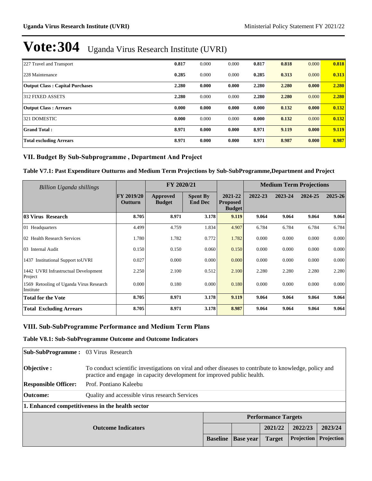| 227 Travel and Transport               | 0.817 | 0.000 | 0.000 | 0.817 | 0.818 | 0.000 | 0.818 |
|----------------------------------------|-------|-------|-------|-------|-------|-------|-------|
| 228 Maintenance                        | 0.285 | 0.000 | 0.000 | 0.285 | 0.313 | 0.000 | 0.313 |
| <b>Output Class: Capital Purchases</b> | 2.280 | 0.000 | 0.000 | 2.280 | 2.280 | 0.000 | 2.280 |
| 312 FIXED ASSETS                       | 2.280 | 0.000 | 0.000 | 2.280 | 2.280 | 0.000 | 2.280 |
| <b>Output Class: Arrears</b>           | 0.000 | 0.000 | 0.000 | 0.000 | 0.132 | 0.000 | 0.132 |
| 321 DOMESTIC                           | 0.000 | 0.000 | 0.000 | 0.000 | 0.132 | 0.000 | 0.132 |
| <b>Grand Total:</b>                    | 8.971 | 0.000 | 0.000 | 8.971 | 9.119 | 0.000 | 9.119 |
| <b>Total excluding Arrears</b>         | 8.971 | 0.000 | 0.000 | 8.971 | 8.987 | 0.000 | 8.987 |

# VII. Budget By Sub-Subprogramme, Department And Project

#### **Table V7.1: Past Expenditure Outturns and Medium Term Projections by Sub-SubProgramme,Department and Project**

| Billion Uganda shillings                             |                              | FY 2020/21                |                                   |                                             |         | <b>Medium Term Projections</b> |         |         |
|------------------------------------------------------|------------------------------|---------------------------|-----------------------------------|---------------------------------------------|---------|--------------------------------|---------|---------|
|                                                      | <b>FY 2019/20</b><br>Outturn | Approved<br><b>Budget</b> | <b>Spent By</b><br><b>End Dec</b> | 2021-22<br><b>Proposed</b><br><b>Budget</b> | 2022-23 | 2023-24                        | 2024-25 | 2025-26 |
| 03 Virus Research                                    | 8.705                        | 8.971                     | 3.178                             | 9.119                                       | 9.064   | 9.064                          | 9.064   | 9.064   |
| 01 Headquarters                                      | 4.499                        | 4.759                     | 1.834                             | 4.907                                       | 6.784   | 6.784                          | 6.784   | 6.784   |
| 02 Health Research Services                          | 1.780                        | 1.782                     | 0.772                             | 1.782                                       | 0.000   | 0.000                          | 0.000   | 0.000   |
| 03 Internal Audit                                    | 0.150                        | 0.150                     | 0.060                             | 0.150                                       | 0.000   | 0.000                          | 0.000   | 0.000   |
| 1437 Institutional Support to UVRI                   | 0.027                        | 0.000                     | 0.000                             | 0.000                                       | 0.000   | 0.000                          | 0.000   | 0.000   |
| 1442 UVRI Infrastructual Development<br>Project      | 2.250                        | 2.100                     | 0.512                             | 2.100                                       | 2.280   | 2.280                          | 2.280   | 2.280   |
| 1569 Retooling of Uganda Virus Research<br>Institute | 0.000                        | 0.180                     | 0.000                             | 0.180                                       | 0.000   | 0.000                          | 0.000   | 0.000   |
| <b>Total for the Vote</b>                            | 8.705                        | 8.971                     | 3.178                             | 9.119                                       | 9.064   | 9.064                          | 9.064   | 9.064   |
| <b>Total Excluding Arrears</b>                       | 8.705                        | 8.971                     | 3.178                             | 8.987                                       | 9.064   | 9.064                          | 9.064   | 9.064   |

#### VIII. Sub-SubProgramme Performance and Medium Term Plans

#### **Table V8.1: Sub-SubProgramme Outcome and Outcome Indicators**

| <b>Sub-SubProgramme:</b> 03 Virus Research |                                                                                                                                                                                    |                 |                  |                            |            |            |  |  |
|--------------------------------------------|------------------------------------------------------------------------------------------------------------------------------------------------------------------------------------|-----------------|------------------|----------------------------|------------|------------|--|--|
| Objective :                                | To conduct scientific investigations on viral and other diseases to contribute to knowledge, policy and<br>practice and engage in capacity development for improved public health. |                 |                  |                            |            |            |  |  |
| <b>Responsible Officer:</b>                | Prof. Pontiano Kaleebu                                                                                                                                                             |                 |                  |                            |            |            |  |  |
| Outcome:                                   | Quality and accessible virus research Services                                                                                                                                     |                 |                  |                            |            |            |  |  |
|                                            | 1. Enhanced competitiveness in the health sector                                                                                                                                   |                 |                  |                            |            |            |  |  |
|                                            |                                                                                                                                                                                    |                 |                  | <b>Performance Targets</b> |            |            |  |  |
| <b>Outcome Indicators</b>                  |                                                                                                                                                                                    |                 |                  | 2021/22                    | 2022/23    | 2023/24    |  |  |
|                                            |                                                                                                                                                                                    | <b>Baseline</b> | <b>Base</b> year | <b>Target</b>              | Projection | Projection |  |  |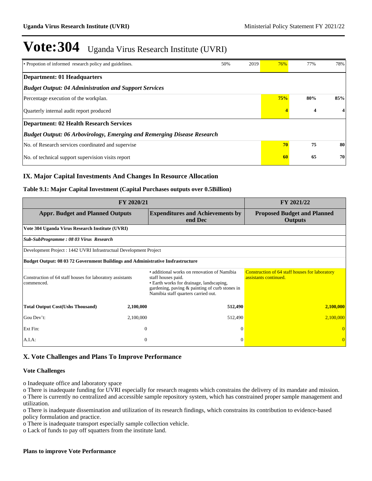| • Propotion of informed research policy and guidelines.                        | 50% | 2019 | 76%                     | 77% | 78% |  |  |
|--------------------------------------------------------------------------------|-----|------|-------------------------|-----|-----|--|--|
| <b>Department: 01 Headquarters</b>                                             |     |      |                         |     |     |  |  |
| <b>Budget Output: 04 Administration and Support Services</b>                   |     |      |                         |     |     |  |  |
| Percentage execution of the workplan.                                          |     |      | 75%                     | 80% | 85% |  |  |
| Quarterly internal audit report produced                                       |     | 4    | $\overline{\mathbf{4}}$ |     |     |  |  |
| <b>Department: 02 Health Research Services</b>                                 |     |      |                         |     |     |  |  |
| <b>Budget Output: 06 Arbovirology, Emerging and Remerging Disease Research</b> |     |      |                         |     |     |  |  |
| No. of Research services coordinated and supervise                             |     |      | 70                      | 75  | 80  |  |  |
| No. of technical support supervision visits report                             | 60  | 65   | 70                      |     |     |  |  |

# **IX. Major Capital Investments And Changes In Resource Allocation**

#### **Table 9.1: Major Capital Investment (Capital Purchases outputs over 0.5Billion)**

| FY 2020/21                                                                      | FY 2021/22     |                                                                                                                                                                                                        |                                                                         |
|---------------------------------------------------------------------------------|----------------|--------------------------------------------------------------------------------------------------------------------------------------------------------------------------------------------------------|-------------------------------------------------------------------------|
| <b>Appr. Budget and Planned Outputs</b>                                         |                | <b>Expenditures and Achievements by</b><br>end Dec                                                                                                                                                     | <b>Proposed Budget and Planned</b><br><b>Outputs</b>                    |
| Vote 304 Uganda Virus Research Institute (UVRI)                                 |                |                                                                                                                                                                                                        |                                                                         |
| Sub-SubProgramme: 08 03 Virus Research                                          |                |                                                                                                                                                                                                        |                                                                         |
| Development Project : 1442 UVRI Infrastructual Development Project              |                |                                                                                                                                                                                                        |                                                                         |
| Budget Output: 08 03 72 Government Buildings and Administrative Insfrastructure |                |                                                                                                                                                                                                        |                                                                         |
| Construction of 64 staff houses for laboratory assistants<br>commenced.         |                | • additional works on renovation of Namibia<br>staff houses paid.<br>• Earth works for drainage, landscaping,<br>gardening, paving & painting of curb stones in<br>Namibia staff quarters carried out. | Construction of 64 staff houses for laboratory<br>assistants continued. |
| <b>Total Output Cost(Ushs Thousand)</b>                                         | 2,100,000      | 512,490                                                                                                                                                                                                | 2,100,000                                                               |
| Gou Dev't:                                                                      | 2,100,000      | 512,490                                                                                                                                                                                                | 2,100,000                                                               |
| Ext Fin:                                                                        | $\overline{0}$ | $\Omega$                                                                                                                                                                                               |                                                                         |
| $A.I.A$ :                                                                       | $\overline{0}$ | $\Omega$                                                                                                                                                                                               | $\overline{0}$                                                          |

### **X. Vote Challenges and Plans To Improve Performance**

#### **Vote Challenges**

o Inadequate office and laboratory space

o There is inadequate funding for UVRI especially for research reagents which constrains the delivery of its mandate and mission. o There is currently no centralized and accessible sample repository system, which has constrained proper sample management and utilization.

o There is inadequate dissemination and utilization of its research findings, which constrains its contribution to evidence-based policy formulation and practice.

o There is inadequate transport especially sample collection vehicle.

o Lack of funds to pay off squatters from the institute land.

#### **Plans to improve Vote Performance**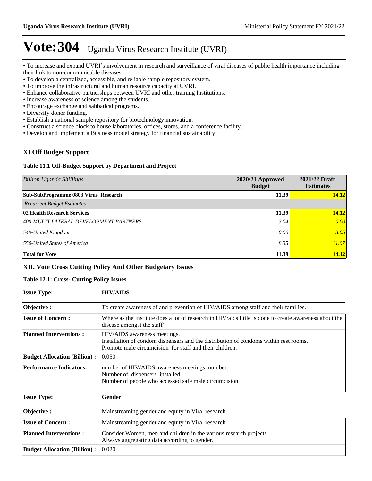• To increase and expand UVRI's involvement in research and surveillance of viral diseases of public health importance including their link to non-communicable diseases.

- To develop a centralized, accessible, and reliable sample repository system.
- To improve the infrastructural and human resource capacity at UVRI.
- Enhance collaborative partnerships between UVRI and other training Institutions.
- Increase awareness of science among the students.
- Encourage exchange and sabbatical programs.
- Diversify donor funding.
- Establish a national sample repository for biotechnology innovation.
- Construct a science block to house laboratories, offices, stores, and a conference facility.
- Develop and implement a Business model strategy for financial sustainability.

# **XI Off Budget Support**

#### **Table 11.1 Off-Budget Support by Department and Project**

| <b>Billion Uganda Shillings</b>        | $2020/21$ Approved<br><b>Budget</b> | 2021/22 Draft<br><b>Estimates</b> |
|----------------------------------------|-------------------------------------|-----------------------------------|
| Sub-SubProgramme 0803 Virus Research   | 11.39                               | 14.12                             |
| <b>Recurrent Budget Estimates</b>      |                                     |                                   |
| 02 Health Research Services            | 11.39                               | 14.12                             |
| 400-MULTI-LATERAL DEVELOPMENT PARTNERS | 3.04                                | 0.00                              |
| 549-United Kingdom                     | 0.00                                | 3.05                              |
| 550-United States of America           | 8.35                                | 11.07                             |
| <b>Total for Vote</b>                  | 11.39                               | 14.12                             |

# **XII. Vote Cross Cutting Policy And Other Budgetary Issues**

#### **Table 12.1: Cross- Cutting Policy Issues**

| <b>Issue Type:</b>                  | <b>HIV/AIDS</b>                                                                                                                                                                 |
|-------------------------------------|---------------------------------------------------------------------------------------------------------------------------------------------------------------------------------|
| Objective:                          | To create awareness of and prevention of HIV/AIDS among staff and their families.                                                                                               |
| <b>Issue of Concern:</b>            | Where as the Institute does a lot of research in HIV/aids little is done to create awareness about the<br>disease amongst the staff                                             |
| <b>Planned Interventions:</b>       | HIV/AIDS awareness meetings.<br>Installation of condom dispensers and the distribution of condoms within rest rooms.<br>Promote male circumcision for staff and their children. |
| <b>Budget Allocation (Billion):</b> | 0.050                                                                                                                                                                           |
| <b>Performance Indicators:</b>      | number of HIV/AIDS awareness meetings, number.<br>Number of dispensers installed.<br>Number of people who accessed safe male circumcision.                                      |
| <b>Issue Type:</b>                  | Gender                                                                                                                                                                          |
| Objective:                          | Mainstreaming gender and equity in Viral research.                                                                                                                              |
| <b>Issue of Concern:</b>            | Mainstreaming gender and equity in Viral research.                                                                                                                              |
| <b>Planned Interventions:</b>       | Consider Women, men and children in the various research projects.<br>Always aggregating data according to gender.                                                              |
| <b>Budget Allocation (Billion):</b> | 0.020                                                                                                                                                                           |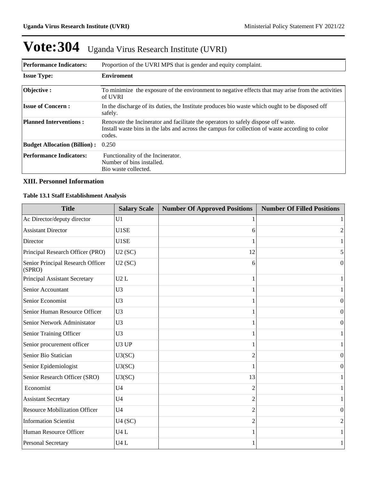| <b>Performance Indicators:</b><br>Proportion of the UVRI MPS that is gender and equity complaint. |                                                                                                                                                                                                 |  |  |  |
|---------------------------------------------------------------------------------------------------|-------------------------------------------------------------------------------------------------------------------------------------------------------------------------------------------------|--|--|--|
| <b>Issue Type:</b>                                                                                | <b>Enviroment</b>                                                                                                                                                                               |  |  |  |
| Objective:                                                                                        | To minimize the exposure of the environment to negative effects that may arise from the activities<br>of UVRI                                                                                   |  |  |  |
| <b>Issue of Concern :</b>                                                                         | In the discharge of its duties, the Institute produces bio waste which ought to be disposed off<br>safely.                                                                                      |  |  |  |
| <b>Planned Interventions:</b>                                                                     | Renovate the Incinerator and facilitate the operators to safely dispose off waste.<br>Install waste bins in the labs and across the campus for collection of waste according to color<br>codes. |  |  |  |
| <b>Budget Allocation (Billion):</b>                                                               | 0.250                                                                                                                                                                                           |  |  |  |
| <b>Performance Indicators:</b>                                                                    | Functionality of the Incinerator.<br>Number of bins installed.<br>Bio waste collected.                                                                                                          |  |  |  |

### **XIII. Personnel Information**

#### **Table 13.1 Staff Establishment Analysis**

| <b>Title</b>                                | <b>Salary Scale</b> | <b>Number Of Approved Positions</b> | <b>Number Of Filled Positions</b> |
|---------------------------------------------|---------------------|-------------------------------------|-----------------------------------|
| Ac Director/deputy director                 | U1                  |                                     |                                   |
| <b>Assistant Director</b>                   | U1SE                | 6                                   | 2                                 |
| Director                                    | U1SE                |                                     |                                   |
| Principal Research Officer (PRO)            | U2(SC)              | 12                                  | 5                                 |
| Senior Principal Research Officer<br>(SPRO) | U2(SC)              | 6                                   | $\mathbf{0}$                      |
| Principal Assistant Secretary               | U2L                 |                                     | 1                                 |
| Senior Accountant                           | U <sub>3</sub>      |                                     |                                   |
| Senior Economist                            | U3                  |                                     | $\Omega$                          |
| Senior Human Resource Officer               | U <sub>3</sub>      |                                     | $\boldsymbol{0}$                  |
| Senior Network Administator                 | U <sub>3</sub>      |                                     | $\mathbf{0}$                      |
| Senior Training Officer                     | U <sub>3</sub>      |                                     | 1                                 |
| Senior procurement officer                  | U3 UP               |                                     | 1                                 |
| Senior Bio Statician                        | U3(SC)              | $\mathfrak{D}$                      | $\Omega$                          |
| Senior Epidemiologist                       | U3(SC)              |                                     | $\boldsymbol{0}$                  |
| Senior Research Officer (SRO)               | U3(SC)              | 13                                  | 1                                 |
| Economist                                   | U <sub>4</sub>      | $\overline{c}$                      |                                   |
| <b>Assistant Secretary</b>                  | U <sub>4</sub>      | $\mathfrak{D}$                      | 1                                 |
| <b>Resource Mobilization Officer</b>        | U <sub>4</sub>      | 2                                   | $\Omega$                          |
| <b>Information Scientist</b>                | U4(SC)              | 2                                   | 2                                 |
| Human Resource Officer                      | U4L                 |                                     | $\mathbf{1}$                      |
| Personal Secretary                          | U4L                 |                                     | 1                                 |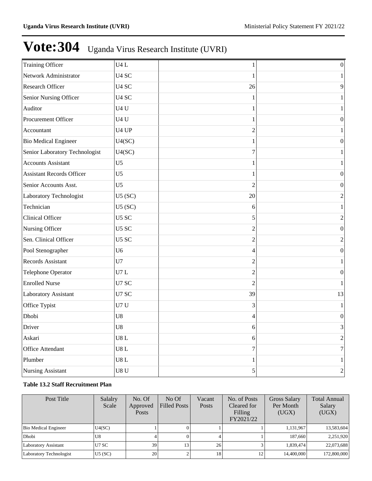| <b>Training Officer</b>          | U4L               | 1                | $\boldsymbol{0}$ |
|----------------------------------|-------------------|------------------|------------------|
| Network Administrator            | U <sub>4</sub> SC | 1                | $\mathbf{1}$     |
| Research Officer                 | U <sub>4</sub> SC | 26               | 9                |
| Senior Nursing Officer           | U <sub>4</sub> SC | 1                | 1                |
| Auditor                          | U4U               | 1                | $\mathbf{1}$     |
| Procurement Officer              | U <sub>4</sub> U  | 1                | $\boldsymbol{0}$ |
| Accountant                       | U <sub>4</sub> UP | $\overline{2}$   | $\mathbf{1}$     |
| <b>Bio Medical Engineer</b>      | U4(SC)            | 1                | $\boldsymbol{0}$ |
| Senior Laboratory Technologist   | U4(SC)            | $\overline{7}$   | $\mathbf{1}$     |
| <b>Accounts Assistant</b>        | U <sub>5</sub>    | 1                | 1                |
| <b>Assistant Records Officer</b> | U <sub>5</sub>    | 1                | $\boldsymbol{0}$ |
| Senior Accounts Asst.            | U <sub>5</sub>    | $\overline{2}$   | $\boldsymbol{0}$ |
| Laboratory Technologist          | U5(SC)            | 20               | $\mathfrak{2}$   |
| Technician                       | U5(SC)            | 6                | $\mathbf{1}$     |
| Clinical Officer                 | U5 SC             | 5                | $\overline{c}$   |
| Nursing Officer                  | U5 SC             | $\overline{c}$   | $\mathbf{0}$     |
| Sen. Clinical Officer            | U <sub>5</sub> SC | $\overline{2}$   | $\overline{2}$   |
| Pool Stenographer                | U <sub>6</sub>    | $\overline{4}$   | $\boldsymbol{0}$ |
| Records Assistant                | U7                | $\overline{2}$   | $\mathbf{1}$     |
| Telephone Operator               | U7L               | $\overline{c}$   | $\boldsymbol{0}$ |
| <b>Enrolled Nurse</b>            | U7 SC             | $\overline{2}$   | $\mathbf{1}$     |
| Laboratory Assistant             | U7 SC             | 39               | 13               |
| Office Typist                    | U7U               | 3                | $\mathbf{1}$     |
| Dhobi                            | U8                | 4                | $\boldsymbol{0}$ |
| Driver                           | U8                | 6                | 3                |
| Askari                           | U8L               | 6                | $\overline{c}$   |
| Office Attendant                 | $U8$ L            | $\boldsymbol{7}$ | $\tau$           |
| Plumber                          | U8L               | 1                | $\mathbf{1}$     |
| Nursing Assistant                | U8 <sub>U</sub>   | 5                | $\overline{c}$   |

## **Table 13.2 Staff Recruitment Plan**

| Post Title              | Salalry<br>Scale | No. Of<br>Approved<br><b>Posts</b> | No Of<br><b>Filled Posts</b> | Vacant<br>Posts | No. of Posts<br>Cleared for<br>Filling<br>FY2021/22 | <b>Gross Salary</b><br>Per Month<br>(UGX) | <b>Total Annual</b><br>Salary<br>(UGX) |
|-------------------------|------------------|------------------------------------|------------------------------|-----------------|-----------------------------------------------------|-------------------------------------------|----------------------------------------|
| Bio Medical Engineer    | U4(SC)           |                                    |                              |                 |                                                     | 1.131.967                                 | 13,583,604                             |
| Dhobi                   | U8               |                                    |                              |                 |                                                     | 187,660                                   | 2,251,920                              |
| Laboratory Assistant    | U7 SC            | 39                                 | 13 <sub>1</sub>              | 26              |                                                     | 1,839,474                                 | 22,073,688                             |
| Laboratory Technologist | $U5$ (SC)        | 20                                 |                              |                 | 12                                                  | 14,400,000                                | 172,800,000                            |